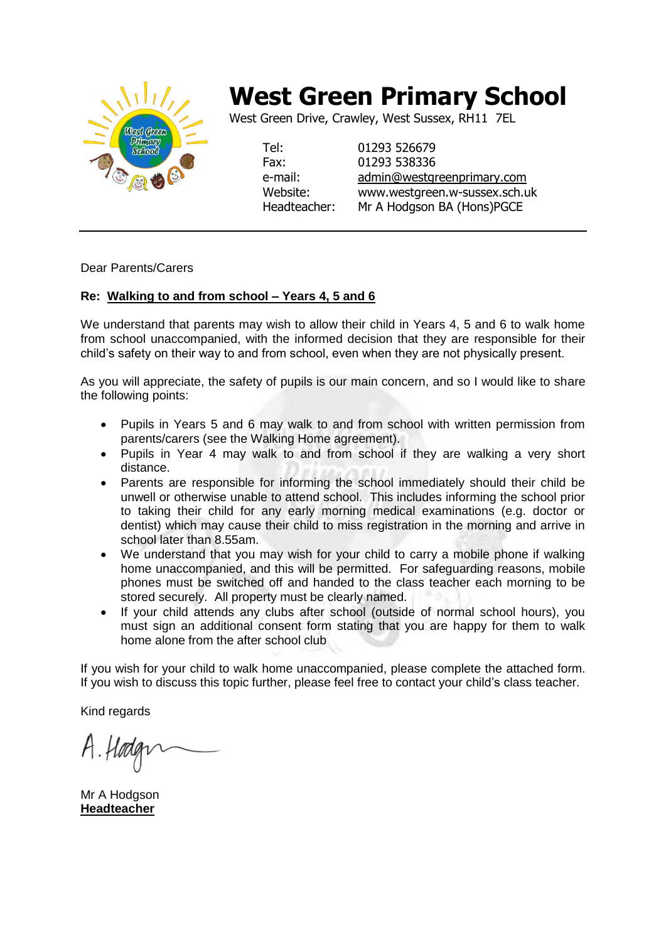

## **West Green Primary School**

West Green Drive, Crawley, West Sussex, RH11 7EL

Tel: 01293 526679 Fax: 01293 538336 e-mail: [admin@westgreenprimary.com](mailto:admin@westgreenprimary.com) Website: www.westgreen.w-sussex.sch.uk Headteacher: Mr A Hodgson BA (Hons)PGCE

Dear Parents/Carers

## **Re: Walking to and from school – Years 4, 5 and 6**

We understand that parents may wish to allow their child in Years 4, 5 and 6 to walk home from school unaccompanied, with the informed decision that they are responsible for their child's safety on their way to and from school, even when they are not physically present.

As you will appreciate, the safety of pupils is our main concern, and so I would like to share the following points:

- Pupils in Years 5 and 6 may walk to and from school with written permission from parents/carers (see the Walking Home agreement).
- Pupils in Year 4 may walk to and from school if they are walking a very short distance.
- Parents are responsible for informing the school immediately should their child be unwell or otherwise unable to attend school. This includes informing the school prior to taking their child for any early morning medical examinations (e.g. doctor or dentist) which may cause their child to miss registration in the morning and arrive in school later than 8.55am.
- We understand that you may wish for your child to carry a mobile phone if walking home unaccompanied, and this will be permitted. For safeguarding reasons, mobile phones must be switched off and handed to the class teacher each morning to be stored securely. All property must be clearly named.
- If your child attends any clubs after school (outside of normal school hours), you must sign an additional consent form stating that you are happy for them to walk home alone from the after school club

If you wish for your child to walk home unaccompanied, please complete the attached form. If you wish to discuss this topic further, please feel free to contact your child's class teacher.

Kind regards

Mr A Hodgson **Headteacher**